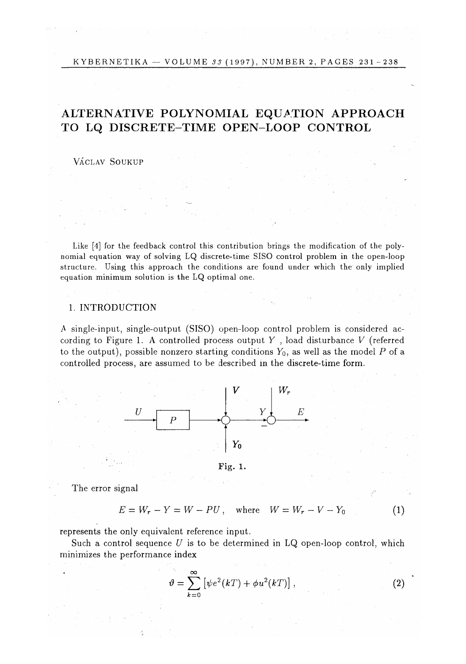# ALTERNATIVE POLYNOMIAL EQUATION APPROACH TO L**Q** DISCRETE-TIME OPEN-LOOP CONTROL

VÁCLAV SOUKUP

Like [4] for the feedback control this contribution brings the modification of the polynomial equation way of solving LQ discrete-time SISO control problem in the open-loop structure. Using this approach the conditions are found under which the only implied equation minimum solution is the LQ optimal one.

### 1. INTRODUCTION

A single-input, single-output (SISO) open-loop control problem is considered according to Figure 1. A controlled process output *Y* , load disturbance *V* (referred to the output), possible nonzero starting conditions  $Y_0$ , as well as the model P of a controlled process, are assumed to be described in the discrete-time form.



Fig. 1.

The error signal

$$
E = W_r - Y = W - PU, \text{ where } W = W_r - V - Y_0
$$
 (1)

represents the only equivalent reference input.

Such a control sequence *U* is to be determined in LQ open-loop control, which minimizes the performance index

$$
\vartheta = \sum_{k=0}^{\infty} \left[ \psi e^2(kT) + \phi u^2(kT) \right],
$$
 (2)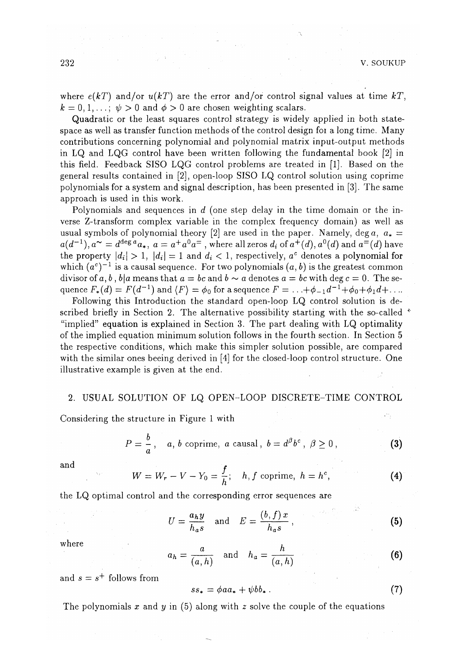where  $e(kT)$  and/or  $u(kT)$  are the error and/or control signal values at time  $kT$ ,  $k = 0, 1, \ldots; \psi > 0$  and  $\phi > 0$  are chosen weighting scalars.

Quadratic or the least squares control strategy is widely applied in both statespace as well as transfer function methods of the control design foi a long time. Many contributions concerning polynomial and polynomial matrix input-output methods in LQ and LQG control have been written following the fundamental book [2] in this field. Feedback SISO LQG control problems are treated in [1]. Based on the general results contained in [2], open-loop SISO LQ control solution using coprime polynomials for a system and signal description, has been presented in [3]. The same approach is used in this work.

Polynomials and sequences in d (one step delay in the time domain or the inverse Z-transform complex variable in the complex frequency domain) as well as usual symbols of polynomial theory [2] are used in the paper. Namely, deg  $a, a_* =$  $a(d^{-1})$ ,  $a^{\thicksim} = d^{\deg a} a_*$ ,  $a = a^+ a^0 a^-$ , where all zeros  $d_i$  of  $a^+(d)$ ,  $a^0(d)$  and  $a^=(d)$  have the property  $|d_i| > 1$ ,  $|d_i| = 1$  and  $d_i < 1$ , respectively,  $a^c$  denotes a polynomial for which  $(a^c)^{-1}$  is a causal sequence. For two polynomials  $(a, b)$  is the greatest common divisor of  $a, b, b\vert a$  means that  $a = bc$  and  $b \sim a$  denotes  $a = bc$  with deg  $c = 0$ . The sequence  $F_*(d) = F(d^{-1})$  and  $\langle F \rangle = \phi_0$  for a sequence  $F = \ldots + \phi_{-1}d^{-1} + \phi_0 + \phi_1d + \ldots$ 

Following this Introduction the standard open-loop LQ control solution is described briefly in Section 2. The alternative possibility starting with the so-called  $\dot{\ }$ "implied" equation is explained in Section 3. The part dealing with LQ optimality of the implied equation minimum solution follows in the fourth section. In Section 5 the respective conditions, which make this simpler solution possible, are compared with the similar ones beeing derived in [4] for the closed-loop control structure. One illustrative example is given at the end.

#### 2. USUAL SOLUTION OF LQ OPEN-LOOP DISCRETE-TIME CONTROL

Considering the structure in Figure 1 with

$$
P = \frac{b}{a}, \quad a, \, b \text{ coprime}, \, a \text{ causal}, \, b = d^{\beta}b^c, \, \beta \ge 0 \,, \tag{3}
$$

and 
$$
W = W_r - V - Y_0 = \frac{f}{h}
$$
; *h, f* coprime,  $h = h^c$ , (4)

the LQ optimal control and the corresponding error sequences are

$$
U = \frac{a_h y}{h_a s} \quad \text{and} \quad E = \frac{(b, f) x}{h_a s}, \tag{5}
$$

where

where  

$$
a_h = \frac{a}{(a, h)} \quad \text{and} \quad h_a = \frac{h}{(a, h)}
$$
(6)

and  $s = s^+$  follows from

$$
ss_* = \phi a a_* + \psi b b_* \tag{7}
$$

 $\epsilon$  slong with  $z$  solve the couple of the equations The polynomials *x* and *y* in (5) along with *z* solve the couple of the equations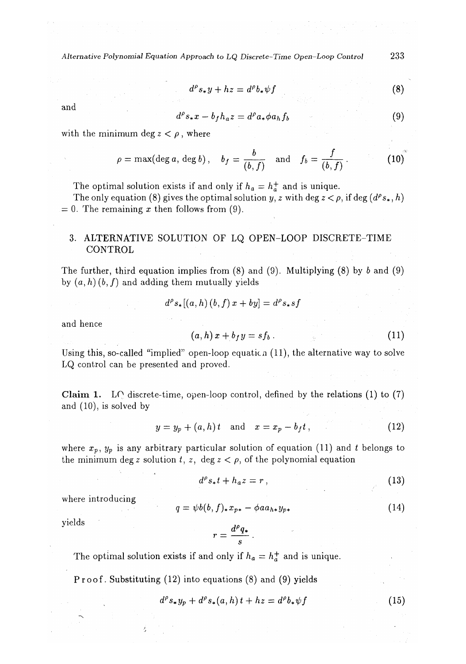*Alternative Polynomial Equation Approach to LQ Discrete-Time Open-Loop Control* 233

$$
d^{\rho}s_{*}y + hz = d^{\rho}b_{*}\psi f \tag{8}
$$

and

$$
d^{\rho}s_{*}x-b_{f}h_{a}z=d^{\rho}a_{*}\phi a_{h}f_{b}
$$
 (9)

with the minimum deg  $z < \rho$ , where

$$
\rho = \max(\deg a, \deg b), \quad b_f = \frac{b}{(b, f)} \quad \text{and} \quad f_b = \frac{f}{(b, f)}.
$$
 (10)

The optimal solution exists if and only if  $h_a = h_a^+$  and is unique.

The only equation (8) gives the optimal solution *y*, *z* with deg  $z < \rho$ , if deg ( $d^{\rho}s_*, h$ ) *=* 0. The remaining *x* then follows from (9).

## 3. ALTERNATIVE SOLUTION OF LQ OPEN-LOOP DISCRETE-TIME CONTROL

The further, third equation implies from  $(8)$  and  $(9)$ . Multiplying  $(8)$  by  $b$  and  $(9)$ by  $(a, h)$   $(b, f)$  and adding them mutually yields

$$
d^{\rho}s_*[(a, h)(b, f) x + by] = d^{\rho}s_*sf
$$

and hence

$$
(a,h)x + b_f y = sf_b. \t\t(11)
$$

Using this, so-called "implied" open-loop equation  $(11)$ , the alternative way to solve LQ control can be presented and proved.

C**laim 1.** LQ discrete-time, open-loop control, defined by the relations (1) to (7) and (10), is solved by

$$
y = y_p + (a, h)t \quad \text{and} \quad x = x_p - b_f t, \tag{12}
$$

where  $x_p$ *,*  $y_p$  is any arbitrary particular solution of equation (11) and t belongs to the minimum deg *z* solution  $t$ ,  $z$ , deg  $z < \rho$ , of the polynomial equation

$$
d^{\rho}s_{*}t + h_{a}z = r , \qquad (13)
$$

where introducing

$$
q = \psi b(b, f)_* x_{p*} - \phi a a_{h*} y_{p*} \tag{14}
$$

yields

$$
r=\frac{d^{\rho}q_{*}}{s}
$$

The optimal solution exists if and only if  $h_a = h_a^+$  and is unique.

Proof. Substituting (12) into equations (8) and (9) yields

$$
d^{\rho}s_{*}y_{p} + d^{\rho}s_{*}(a,h)t + hz = d^{\rho}b_{*}\psi f \qquad (15)
$$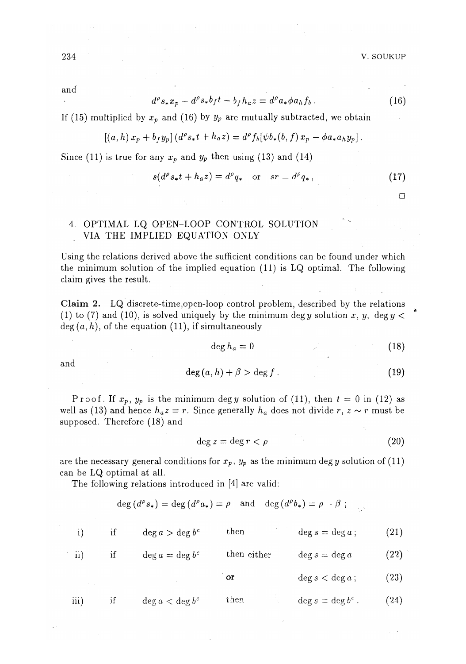and  $\overline{a}$ 

$$
d^{\rho} s_{*} x_{p} - d^{\rho} s_{*} b_{f} t - b_{f} h_{a} z = d^{\rho} a_{*} \phi a_{h} f_{b} . \qquad (16)
$$

If (15) multiplied by  $x_p$  and (16) by  $y_p$  are mutually subtracted, we obtain

$$
[(a, h) x_p + b_f y_p] (d^{\rho} s_* t + h_a z) = d^{\rho} f_b [\psi b_* (b, f) x_p - \phi a_* a_h y_p].
$$

Since (11) is true for any  $x_p$  and  $y_p$  then using (13) and (14)

$$
s(d^{\rho}s_*t + h_a z) = d^{\rho}q_* \quad \text{or} \quad sr = d^{\rho}q_*, \tag{17}
$$

**D** 

# 4. OPTIMAL LQ OPEN-LOOP CONTROL SOLUTION VIA THE IMPLIED EQUATION ONLY

Using the relations derived above the sufficient conditions can be found under which the minimum solution of the implied equation (11) is LQ optimal. The following claim gives the result.

C**laim 2.** LQ discrete-time,open-loop control problem, described by the relations (1) to (7) and (10), is solved uniquely by the minimum degy solution *x, y, degy <*   $deg(a, h)$ , of the equation  $(11)$ , if simultaneously

$$
\deg h_a = 0 \tag{18}
$$

and

$$
\deg(a, h) + \beta > \deg f. \tag{19}
$$

P roof. If  $x_p$ ,  $y_p$  is the minimum deg y solution of (11), then  $t = 0$  in (12) as well as (13) and hence  $h_a z = r$ . Since generally  $h_a$  does not divide  $r, z \sim r$  must be supposed. Therefore (18) and

$$
\deg z = \deg r < \rho \tag{20}
$$

are the necessary general conditions for  $x_p$ ,  $y_p$  as the minimum deg y solution of (11) can be LQ optimal at all.

The following relations introduced in [4] are valid:

$$
\deg (d^{\rho} s_{*}) = \deg (d^{\rho} a_{*}) = \rho \quad \text{and} \quad \deg (d^{\rho} b_{*}) = \rho - \beta ;
$$

|                   | Ħ | $\deg a > \deg b^c$ | then        | $\deg s = \deg a;$    | (21)               |
|-------------------|---|---------------------|-------------|-----------------------|--------------------|
| $\overline{ii}$ ) | Ħ | $\deg a = \deg b^c$ | then either | $\deg s = \deg a$     | (22)               |
|                   |   |                     | or          | $\deg s < \deg a$ ;   | $\left( 23\right)$ |
| iii               | Ħ | $\deg a < \deg b^c$ | then        | $\deg s = \deg b^c$ . | $^{(24)}$          |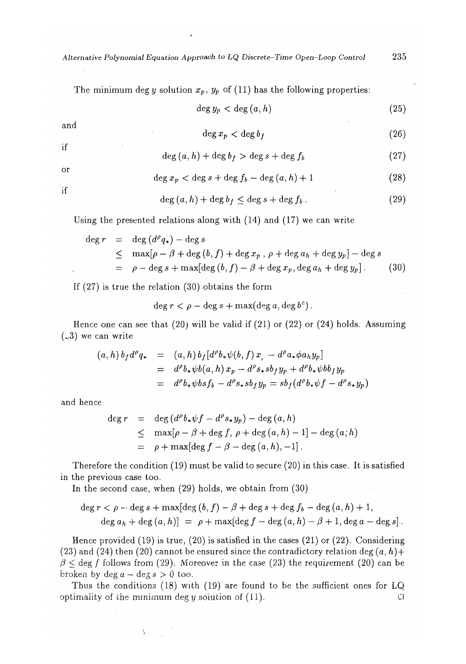*Alternative Polynomial Equation Approach to LQ Discrete-Time Open-Loop Control* 235

The minimum deg *y* solution  $x_p$ ,  $y_p$  of (11) has the following properties:

 $\deg y_p < \deg (a, h)$  (25)

and

$$
\deg x_p < \deg b_f \tag{26}
$$

$$
\deg(a, h) + \deg b_f > \deg s + \deg f_b \tag{27}
$$

or **i**f

**i**f

$$
\deg x_p < \deg s + \deg f_b - \deg \left( a, h \right) + 1 \tag{28}
$$

$$
\deg(a, h) + \deg b_f \le \deg s + \deg f_b. \tag{29}
$$

Using the presented relations along with (14) and (17) we can write

$$
\begin{array}{rcl}\n\deg r & = & \deg \left( d^{\rho} q_{*} \right) - \deg s \\
& \leq & \max[\rho - \beta + \deg \left( b, f \right) + \deg x_{p}, \, \rho + \deg a_{h} + \deg y_{p}] - \deg s \\
& = & \rho - \deg s + \max[\deg \left( b, f \right) - \beta + \deg x_{p}, \deg a_{h} + \deg y_{p}].\n\end{array}\n\tag{30}
$$

If (27) is true the relation (30) obtains the form

$$
\deg r < \rho - \deg s + \max(\deg a, \deg b^c).
$$

Hence one can see that  $(20)$  will be valid if  $(21)$  or  $(22)$  or  $(24)$  holds. Assuming  $(.3)$  we can write

$$
(a, h) b_f d^\rho q_* = (a, h) b_f [d^\rho b_* \psi(b, f) x] - d^\rho a_* \phi a_h y_p]
$$
  
= 
$$
d^\rho b_* \psi b(a, h) x_p - d^\rho s_* s b_f y_p + d^\rho b_* \psi b b_f y_p
$$
  
= 
$$
d^\rho b_* \psi b s f_b - d^\rho s_* s b_f y_p = s b_f (d^\rho b_* \psi f - d^\rho s_* y_p)
$$

and hence

$$
\begin{array}{rcl}\n\deg r & = & \deg \left( d^{\rho} b_{\ast} \psi f - d^{\rho} s_{\ast} y_p \right) - \deg \left( a, h \right) \\
& \leq & \max[\rho - \beta + \deg f, \, \rho + \deg \left( a, h \right) - 1] - \deg \left( a, h \right) \\
& = & \rho + \max[\deg f - \beta - \deg \left( a, h \right), -1].\n\end{array}
$$

Therefore the condition (19) must be valid to secure (20) in this case. It is satisfied in the previous case too.

In the second case, when (29) holds, we obtain from (30)

 $\mathcal{I}_2$ 

$$
\deg r < \rho - \deg s + \max[\deg (b, f) - \beta + \deg s + \deg f_b - \deg (a, h) + 1,
$$
\n
$$
\deg a_h + \deg (a, h) = \rho + \max[\deg f - \deg (a, h) - \beta + 1, \deg a - \deg s].
$$

Hence provided (19) is true, (20) is satisfied in the cases (21) or (22). Considering (23) and (24) then (20) cannot be ensured since the contradictory relation deg  $(a, h)$ +  $\beta \le \text{deg } f$  follows from (29). Moreover in the case (23) the requirement (20) can be broken by  $\deg a - \deg s > 0$  too.

Thus the conditions (18) with (19) are found to be the sufficient ones for LQ optimality of the minimum deg y solution of  $(11)$ .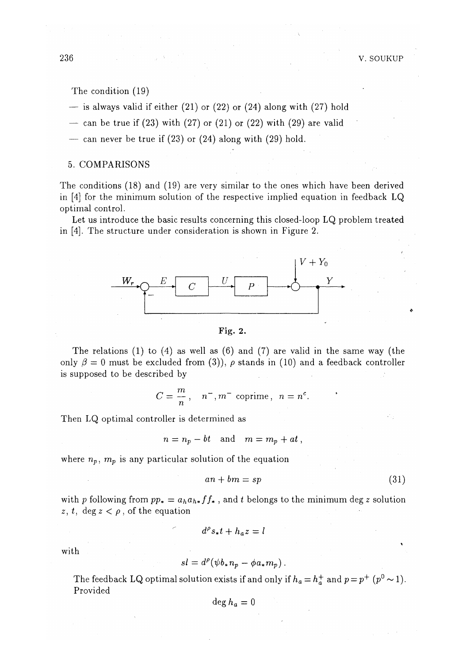The condition (19)

- $-$  is always valid if either (21) or (22) or (24) along with (27) hold
- can be true if  $(23)$  with  $(27)$  or  $(21)$  or  $(22)$  with  $(29)$  are valid
- can never be true if  $(23)$  or  $(24)$  along with  $(29)$  hold.

### 5. COMPARISONS

The conditions (18) and (19) are very similar to the ones which have been derived in [4] for the minimum solution of the respective implied equation in feedback LQ optimal control.

Let us introduce the basic results concerning this closed-loop LQ problem treated in [4]. The structure under consideration is shown in Figure 2.



Fig. 2.

The relations  $(1)$  to  $(4)$  as well as  $(6)$  and  $(7)$  are valid in the same way (the only  $\beta = 0$  must be excluded from (3)),  $\rho$  stands in (10) and a feedback controller is supposed to be described by

$$
C=\frac{m}{n}, \quad n^-, m^- \text{ coprime}, \ n=n^c.
$$

Then LQ optimal controller is determined as

$$
n = n_p - bt \quad \text{and} \quad m = m_p + at \ ,
$$

where  $n_p, m_p$  is any particular solution of the equation

$$
an + bm = sp \tag{31}
$$

with p following from  $pp_* = a_h a_{h*} f f_*$ , and t belongs to the minimum deg z solution *z, t,* deg  $z < \rho$ , of the equation

 $d^{\rho}s_{*}t + h_{a}z = l$ 

with

$$
sl = d^{\rho}(\psi b_* n_p - \phi a_* m_p).
$$

The feedback LQ optimal solution exists if and only if  $h_a = h_a^+$  and  $p = p^+$   $(p^0 \sim 1)$ . Provided

$$
\deg h_a=0
$$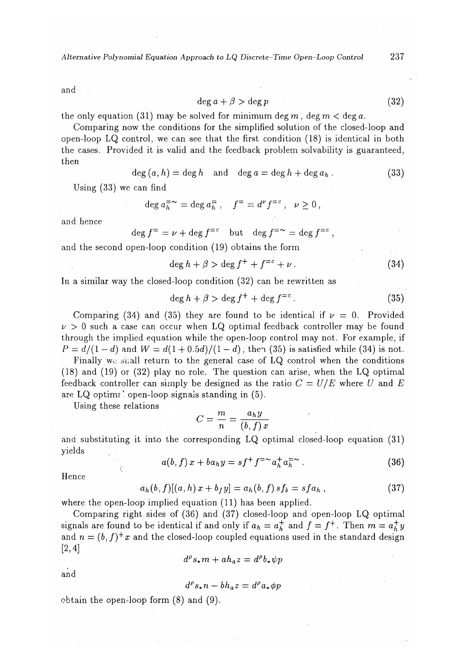*Alternative Polynomial Equation Approach to LQ Discrete-Time Open-Loop Control* 237

and

$$
\deg a + \beta > \deg p \tag{32}
$$

the only equation (31) may be solved for minimum deg m, deg  $m <$  deg a.

Comparing now the conditions for the simplified solution of the closed-loop and open-loop LQ control, we can see that the first condition (18) is identical in both the cases. Provided it is valid and the feedback problem solvability is guaranteed, then

$$
\deg(a, h) = \deg h \quad \text{and} \quad \deg a = \deg h + \deg a_h. \tag{33}
$$

Using (33) we can find

$$
\deg a_h^{-\infty} = \deg a_h^{-}, \quad f^{\pm} = d^{\nu} f^{\pm c}, \quad \nu \ge 0,
$$

and hence

$$
\deg f^{\pm} = \nu + \deg f^{\pm c} \quad \text{but} \quad \deg f^{\pm}{}^{\sim} = \deg f^{\pm c} ,
$$

and the second open-loop condition (19) obtains the form

$$
\deg h + \beta > \deg f^+ + f^{=c} + \nu \,. \tag{34}
$$

In a similar way the closed-loop condition (32) can be rewritten as

$$
\deg h + \beta > \deg f^+ + \deg f^{=c} \,. \tag{35}
$$

Comparing (34) and (35) they are found to be identical if  $\nu = 0$ . Provided  $\nu > 0$  such a case can occur when LQ optimal feedback controller may be found through the implied equation while the open-loop control may not. For example, if  $P = d/(1-d)$  and  $W = d(1+0.5d)/(1-d)$ , then (35) is satisfied while (34) is not.

Finally wo shall return to the general case of LQ control when the conditions (18) and (19) or (32) play no role. The question can arise, when the LQ optimal feedback controller can simply be designed as the ratio *C = U/E* where *U* and *E*  are LQ optim?' open-loop signals standing in (5).

Using these relations

$$
C = \frac{m}{n} = \frac{a_h y}{(b, f) x}
$$

and substituting it into the corresponding LQ optimal closed-loop equation (31) yields

$$
a(b, f) x + b a_h y = s f^+ f^{-\sim} a_h^+ a_h^{-\sim} . \tag{36}
$$

Hence

$$
a_h(b, f)[(a, h) x + b_f y] = a_h(b, f) s f_b = s f a_h , \qquad (37)
$$

where the open-loop implied equation (11) has been applied.

Comparing right sides of (36) and (37) closed-loop and open-loop LQ optimal signals are found to be identical if and only if  $a_h = a_h^+$  and  $f = f^+$ . Then  $m = a_h^+ y$ and  $n = (b, f)^+ x$  and the closed-loop coupled equations used in the standard design [2,4]

$$
d^{\rho}s_{*}m + ah_{a}z = d^{\rho}b_{*}\psi p
$$

and

$$
d^{\rho}s_{*}n-bh_{a}z=d^{\rho}a_{*}\phi p
$$

obtain the open-loop form (8) and (9).